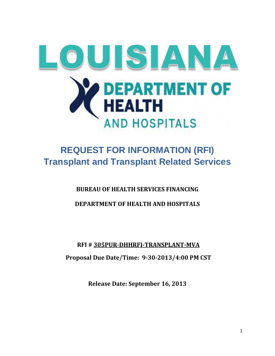

# **REQUEST FOR INFORMATION (RFI) Transplant and Transplant Related Services**

## **BUREAU OF HEALTH SERVICES FINANCING**

## **DEPARTMENT OF HEALTH AND HOSPITALS**

## **RFI # 305PUR-DHHRFI-TRANSPLANT-MVA**

**Proposal Due Date/Time: 9-30-2013/4:00 PM CST**

**Release Date: September 16, 2013**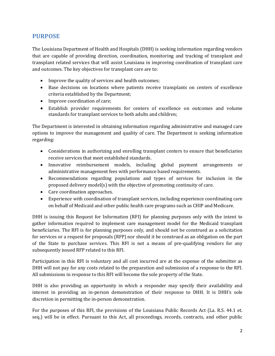#### **PURPOSE**

The Louisiana Department of Health and Hospitals (DHH) is seeking information regarding vendors that are capable of providing direction, coordination, monitoring and tracking of transplant and transplant related services that will assist Louisiana in improving coordination of transplant care and outcomes. The key objectives for transplant care are to:

- Improve the quality of services and health outcomes;
- Base decisions on locations where patients receive transplants on centers of excellence criteria established by the Department;
- Improve coordination of care;
- Establish provider requirements for centers of excellence on outcomes and volume standards for transplant services to both adults and children;

The Department is interested in obtaining information regarding administrative and managed care options to improve the management and quality of care. The Department is seeking information regarding:

- Considerations in authorizing and enrolling transplant centers to ensure that beneficiaries receive services that meet established standards.
- Innovative reimbursement models, including global payment arrangements or administrative management fees with performance based requirements.
- Recommendations regarding populations and types of services for inclusion in the proposed delivery model(s) with the objective of promoting continuity of care.
- Care coordination approaches.
- Experience with coordination of transplant services, including experience coordinating care on behalf of Medicaid and other public health care programs such as CHIP and Medicare.

DHH is issuing this Request for Information (RFI) for planning purposes only with the intent to gather information required to implement care management model for the Medicaid transplant beneficiaries. The RFI is for planning purposes only, and should not be construed as a solicitation for services or a request for proposals (RFP) nor should it be construed as an obligation on the part of the State to purchase services. This RFI is not a means of pre‐qualifying vendors for any subsequently issued RFP related to this RFI.

Participation in this RFI is voluntary and all cost incurred are at the expense of the submitter as DHH will not pay for any costs related to the preparation and submission of a response to the RFI. All submissions in response to this RFI will become the sole property of the State.

DHH is also providing an opportunity in which a responder may specify their availability and interest in providing an in-person demonstration of their response to DHH. It is DHH's sole discretion in permitting the in-person demonstration.

For the purposes of this RFI, the provisions of the Louisiana Public Records Act (La. R.S. 44.1 et. seq.) will be in effect. Pursuant to this Act, all proceedings, records, contracts, and other public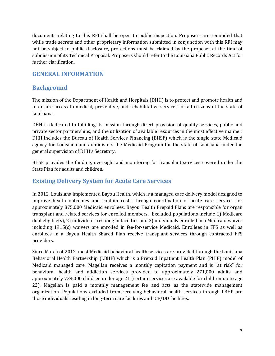documents relating to this RFI shall be open to public inspection. Proposers are reminded that while trade secrets and other proprietary information submitted in conjunction with this RFI may not be subject to public disclosure, protections must be claimed by the proposer at the time of submission of its Technical Proposal. Proposers should refer to the Louisiana Public Records Act for further clarification.

#### **GENERAL INFORMATION**

#### **Background**

The mission of the Department of Health and Hospitals (DHH) is to protect and promote health and to ensure access to medical, preventive, and rehabilitative services for all citizens of the state of Louisiana.

DHH is dedicated to fulfilling its mission through direct provision of quality services, public and private sector partnerships, and the utilization of available resources in the most effective manner. DHH includes the Bureau of Health Services Financing (BHSF) which is the single state Medicaid agency for Louisiana and administers the Medicaid Program for the state of Louisiana under the general supervision of DHH's Secretary.

BHSF provides the funding, oversight and monitoring for transplant services covered under the State Plan for adults and children.

#### **Existing Delivery System for Acute Care Services**

In 2012, Louisiana implemented Bayou Health, which is a managed care delivery model designed to improve health outcomes and contain costs through coordination of acute care services for approximately 875,000 Medicaid enrollees. Bayou Health Prepaid Plans are responsible for organ transplant and related services for enrolled members. Excluded populations include 1) Medicare dual eligible(s), 2) individuals residing in facilities and 3) individuals enrolled in a Medicaid waiver including 1915(c) waivers are enrolled in fee-for-service Medicaid. Enrollees in FFS as well as enrollees in a Bayou Health Shared Plan receive transplant services through contracted FFS providers.

Since March of 2012, most Medicaid behavioral health services are provided through the Louisiana Behavioral Health Partnership (LBHP) which is a Prepaid Inpatient Health Plan (PIHP) model of Medicaid managed care. Magellan receives a monthly capitation payment and is "at risk" for behavioral health and addiction services provided to approximately 271,000 adults and approximately 734,000 children under age 21 (certain services are available for children up to age 22). Magellan is paid a monthly management fee and acts as the statewide management organization. Populations excluded from receiving behavioral health services through LBHP are those individuals residing in long-term care facilities and ICF/DD facilities.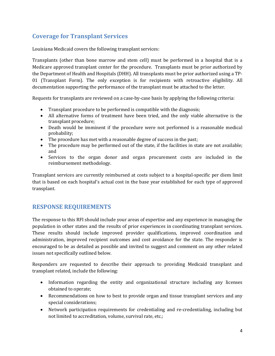### **Coverage for Transplant Services**

Louisiana Medicaid covers the following transplant services:

Transplants (other than bone marrow and stem cell) must be performed in a hospital that is a Medicare approved transplant center for the procedure. Transplants must be prior authorized by the Department of Health and Hospitals (DHH). All transplants must be prior authorized using a TP-01 (Transplant Form). The only exception is for recipients with retroactive eligibility. All documentation supporting the performance of the transplant must be attached to the letter.

Requests for transplants are reviewed on a case-by-case basis by applying the following criteria:

- Transplant procedure to be performed is compatible with the diagnosis;
- All alternative forms of treatment have been tried, and the only viable alternative is the transplant procedure;
- Death would be imminent if the procedure were not performed is a reasonable medical probability;
- The procedure has met with a reasonable degree of success in the past;
- The procedure may be performed out of the state, if the facilities in state are not available; and
- Services to the organ donor and organ procurement costs are included in the reimbursement methodology.

Transplant services are currently reimbursed at costs subject to a hospital-specific per diem limit that is based on each hospital's actual cost in the base year established for each type of approved transplant.

#### **RESPONSE REQUIREMENTS**

The response to this RFI should include your areas of expertise and any experience in managing the population in other states and the results of prior experiences in coordinating transplant services. These results should include improved provider qualifications, improved coordination and administration, improved recipient outcomes and cost avoidance for the state. The responder is encouraged to be as detailed as possible and invited to suggest and comment on any other related issues not specifically outlined below.

Responders are requested to describe their approach to providing Medicaid transplant and transplant related, include the following:

- Information regarding the entity and organizational structure including any licenses obtained to operate;
- Recommendations on how to best to provide organ and tissue transplant services and any special considerations;
- Network participation requirements for credentialing and re-credentialing, including but not limited to accreditation, volume, survival rate, etc.;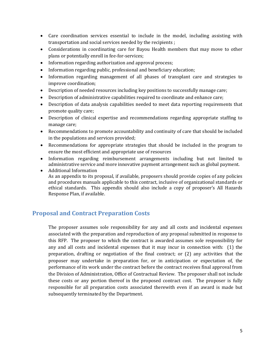- Care coordination services essential to include in the model, including assisting with transportation and social services needed by the recipients ;
- Considerations in coordinating care for Bayou Health members that may move to other plans or potentially enroll in fee-for-services;
- Information regarding authorization and approval process;
- Information regarding public, professional and beneficiary education;
- Information regarding management of all phases of transplant care and strategies to improve coordination;
- Description of needed resources including key positions to successfully manage care;
- Description of administrative capabilities required to coordinate and enhance care;
- Description of data analysis capabilities needed to meet data reporting requirements that promote quality care;
- Description of clinical expertise and recommendations regarding appropriate staffing to manage care;
- Recommendations to promote accountability and continuity of care that should be included in the populations and services provided;
- Recommendations for appropriate strategies that should be included in the program to ensure the most efficient and appropriate use of resources
- Information regarding reimbursement arrangements including but not limited to administrative service and more innovative payment arrangement such as global payment.
- Additional Information As an appendix to its proposal, if available, proposers should provide copies of any policies and procedures manuals applicable to this contract, inclusive of organizational standards or ethical standards. This appendix should also include a copy of proposer's All Hazards Response Plan, if available.

### **Proposal and Contract Preparation Costs**

The proposer assumes sole responsibility for any and all costs and incidental expenses associated with the preparation and reproduction of any proposal submitted in response to this RFP. The proposer to which the contract is awarded assumes sole responsibility for any and all costs and incidental expenses that it may incur in connection with: (1) the preparation, drafting or negotiation of the final contract; or (2) any activities that the proposer may undertake in preparation for, or in anticipation or expectation of, the performance of its work under the contract before the contract receives final approval from the Division of Administration, Office of Contractual Review. The proposer shall not include these costs or any portion thereof in the proposed contract cost. The proposer is fully responsible for all preparation costs associated therewith even if an award is made but subsequently terminated by the Department.